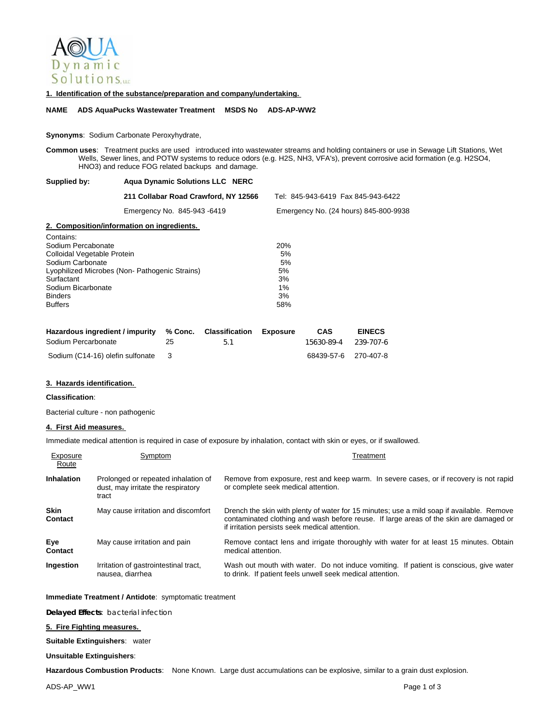

### **1. Identification of the substance/preparation and company/undertaking.**

### **NAME ADS AquaPucks Wastewater Treatment MSDS No ADS-AP-WW2**

### **Synonyms**: Sodium Carbonate Peroxyhydrate,

**Common uses**: Treatment pucks are used introduced into wastewater streams and holding containers or use in Sewage Lift Stations, Wet Wells, Sewer lines, and POTW systems to reduce odors (e.g. H2S, NH3, VFA's), prevent corrosive acid formation (e.g. H2SO4, HNO3) and reduce FOG related backups and damage.

### **Supplied by: Aqua Dynamic Solutions LLC NERC**

Binders 3% Buffers 58%

|                                               | 211 Collabar Road Crawford, NY 12566       | Tel: 845-943-6419 Fax 845-943-6422    |
|-----------------------------------------------|--------------------------------------------|---------------------------------------|
|                                               | Emergency No. 845-943-6419                 | Emergency No. (24 hours) 845-800-9938 |
|                                               | 2. Composition/information on ingredients. |                                       |
| Contains:                                     |                                            |                                       |
| Sodium Percabonate                            |                                            | <b>20%</b>                            |
| Colloidal Vegetable Protein                   |                                            | 5%                                    |
| Sodium Carbonate                              |                                            | 5%                                    |
| Lyophilized Microbes (Non-Pathogenic Strains) |                                            | 5%                                    |
| Surfactant                                    |                                            | 3%                                    |
| Sodium Bicarbonate                            |                                            | $1\%$                                 |
| <b>Binders</b>                                |                                            | 3%                                    |

| Hazardous ingredient / impurity % Conc. Classification Exposure |    |     | CAS                  | <b>EINECS</b> |
|-----------------------------------------------------------------|----|-----|----------------------|---------------|
| Sodium Percarbonate                                             | 25 | -51 | 15630-89-4 239-707-6 |               |
| Sodium (C14-16) olefin sulfonate 3                              |    |     | 68439-57-6 270-407-8 |               |

#### **3. Hazards identification.**

### **Classification**:

Bacterial culture - non pathogenic

# **4. First Aid measures.**

Immediate medical attention is required in case of exposure by inhalation, contact with skin or eyes, or if swallowed.

| Exposure<br>Route             | Symptom                                                                            | Treatment                                                                                                                                                                                                                             |
|-------------------------------|------------------------------------------------------------------------------------|---------------------------------------------------------------------------------------------------------------------------------------------------------------------------------------------------------------------------------------|
| <b>Inhalation</b>             | Prolonged or repeated inhalation of<br>dust, may irritate the respiratory<br>tract | Remove from exposure, rest and keep warm. In severe cases, or if recovery is not rapid<br>or complete seek medical attention.                                                                                                         |
| <b>Skin</b><br><b>Contact</b> | May cause irritation and discomfort                                                | Drench the skin with plenty of water for 15 minutes; use a mild soap if available. Remove<br>contaminated clothing and wash before reuse. If large areas of the skin are damaged or<br>if irritation persists seek medical attention. |
| Eye<br>Contact                | May cause irritation and pain                                                      | Remove contact lens and irrigate thoroughly with water for at least 15 minutes. Obtain<br>medical attention.                                                                                                                          |
| Ingestion                     | Irritation of gastrointestinal tract,<br>nausea, diarrhea                          | Wash out mouth with water. Do not induce vomiting. If patient is conscious, give water<br>to drink. If patient feels unwell seek medical attention.                                                                                   |

### **Immediate Treatment / Antidote**: symptomatic treatment

**Delayed Effects**: bacterial infection

## **5. Fire Fighting measures.**

**Suitable Extinguishers**: water

#### **Unsuitable Extinguishers**:

**Hazardous Combustion Products**: None Known. Large dust accumulations can be explosive, similar to a grain dust explosion.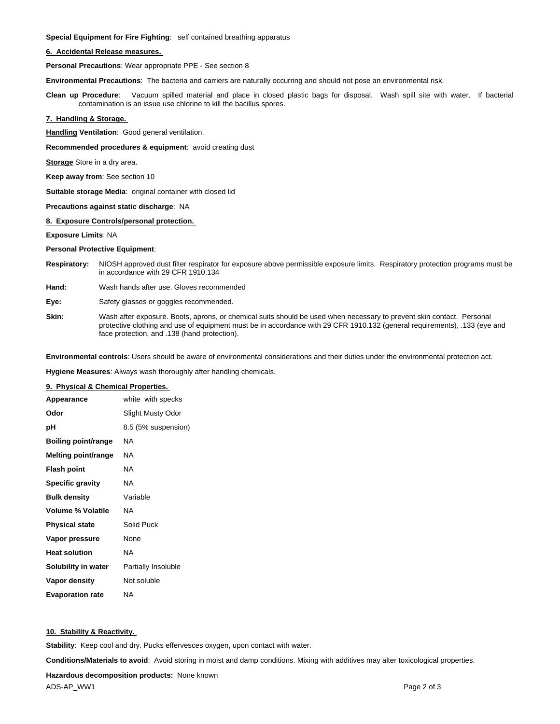**Special Equipment for Fire Fighting**: self contained breathing apparatus

### **6. Accidental Release measures.**

**Personal Precautions**: Wear appropriate PPE - See section 8

**Environmental Precautions**: The bacteria and carriers are naturally occurring and should not pose an environmental risk.

**Clean up Procedure**: Vacuum spilled material and place in closed plastic bags for disposal. Wash spill site with water. If bacterial contamination is an issue use chlorine to kill the bacillus spores.

## **7. Handling & Storage.**

**Handling Ventilation**: Good general ventilation.

**Recommended procedures & equipment**: avoid creating dust

**Storage** Store in a dry area.

**Keep away from**: See section 10

**Suitable storage Media**: original container with closed lid

#### **Precautions against static discharge**: NA

### **8. Exposure Controls/personal protection.**

**Exposure Limits**: NA

#### **Personal Protective Equipment**:

- **Respiratory:** NIOSH approved dust filter respirator for exposure above permissible exposure limits. Respiratory protection programs must be in accordance with 29 CFR 1910.134
- **Hand:** Wash hands after use. Gloves recommended
- **Eye:** Safety glasses or goggles recommended.
- **Skin:** Wash after exposure. Boots, aprons, or chemical suits should be used when necessary to prevent skin contact. Personal protective clothing and use of equipment must be in accordance with 29 CFR 1910.132 (general requirements), .133 (eye and face protection, and .138 (hand protection).

**Environmental controls**: Users should be aware of environmental considerations and their duties under the environmental protection act.

**Hygiene Measures**: Always wash thoroughly after handling chemicals.

## **9. Physical & Chemical Properties.**

| Appearance                 | white with specks   |
|----------------------------|---------------------|
| Odor                       | Slight Musty Odor   |
| рH                         | 8.5 (5% suspension) |
| <b>Boiling point/range</b> | NA                  |
| <b>Melting point/range</b> | ΝA                  |
| <b>Flash point</b>         | ΝA                  |
| <b>Specific gravity</b>    | ΝA                  |
| <b>Bulk density</b>        | Variable            |
| <b>Volume % Volatile</b>   | ΝA                  |
| <b>Physical state</b>      | Solid Puck          |
| Vapor pressure             | None                |
| <b>Heat solution</b>       | NA                  |
| Solubility in water        | Partially Insoluble |
| Vapor density              | Not soluble         |
| <b>Evaporation rate</b>    | ΝA                  |

# **10. Stability & Reactivity.**

**Stability**: Keep cool and dry. Pucks effervesces oxygen, upon contact with water.

**Conditions/Materials to avoid**: Avoid storing in moist and damp conditions. Mixing with additives may alter toxicological properties.

**Hazardous decomposition products:** None known